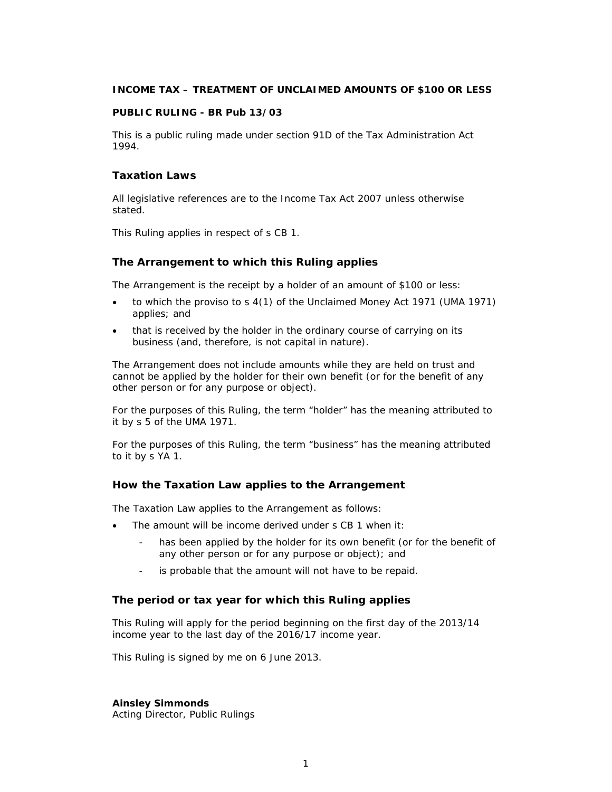# **INCOME TAX – TREATMENT OF UNCLAIMED AMOUNTS OF \$100 OR LESS**

#### **PUBLIC RULING - BR Pub 13/03**

This is a public ruling made under section 91D of the Tax Administration Act 1994.

# **Taxation Laws**

All legislative references are to the Income Tax Act 2007 unless otherwise stated.

This Ruling applies in respect of s CB 1.

#### **The Arrangement to which this Ruling applies**

The Arrangement is the receipt by a holder of an amount of \$100 or less:

- to which the proviso to s 4(1) of the Unclaimed Money Act 1971 (UMA 1971) applies; and
- that is received by the holder in the ordinary course of carrying on its business (and, therefore, is not capital in nature).

The Arrangement does not include amounts while they are held on trust and cannot be applied by the holder for their own benefit (or for the benefit of any other person or for any purpose or object).

For the purposes of this Ruling, the term "holder" has the meaning attributed to it by s 5 of the UMA 1971.

For the purposes of this Ruling, the term "business" has the meaning attributed to it by s YA 1.

#### **How the Taxation Law applies to the Arrangement**

The Taxation Law applies to the Arrangement as follows:

- The amount will be income derived under s CB 1 when it:
	- has been applied by the holder for its own benefit (or for the benefit of any other person or for any purpose or object); and
	- is probable that the amount will not have to be repaid.

#### **The period or tax year for which this Ruling applies**

This Ruling will apply for the period beginning on the first day of the 2013/14 income year to the last day of the 2016/17 income year.

This Ruling is signed by me on 6 June 2013.

**Ainsley Simmonds** 

Acting Director, Public Rulings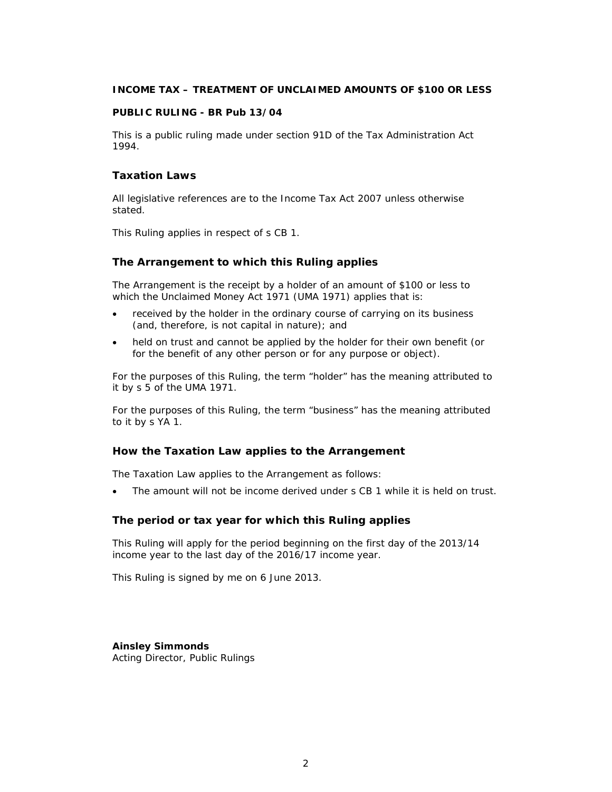# **INCOME TAX – TREATMENT OF UNCLAIMED AMOUNTS OF \$100 OR LESS**

#### **PUBLIC RULING - BR Pub 13/04**

This is a public ruling made under section 91D of the Tax Administration Act 1994.

# **Taxation Laws**

All legislative references are to the Income Tax Act 2007 unless otherwise stated.

This Ruling applies in respect of s CB 1.

# **The Arrangement to which this Ruling applies**

The Arrangement is the receipt by a holder of an amount of \$100 or less to which the Unclaimed Money Act 1971 (UMA 1971) applies that is:

- received by the holder in the ordinary course of carrying on its business (and, therefore, is not capital in nature); and
- held on trust and cannot be applied by the holder for their own benefit (or for the benefit of any other person or for any purpose or object).

For the purposes of this Ruling, the term "holder" has the meaning attributed to it by s 5 of the UMA 1971.

For the purposes of this Ruling, the term "business" has the meaning attributed to it by s YA 1.

# **How the Taxation Law applies to the Arrangement**

The Taxation Law applies to the Arrangement as follows:

The amount will not be income derived under s CB 1 while it is held on trust.

# **The period or tax year for which this Ruling applies**

This Ruling will apply for the period beginning on the first day of the 2013/14 income year to the last day of the 2016/17 income year.

This Ruling is signed by me on 6 June 2013.

**Ainsley Simmonds**  Acting Director, Public Rulings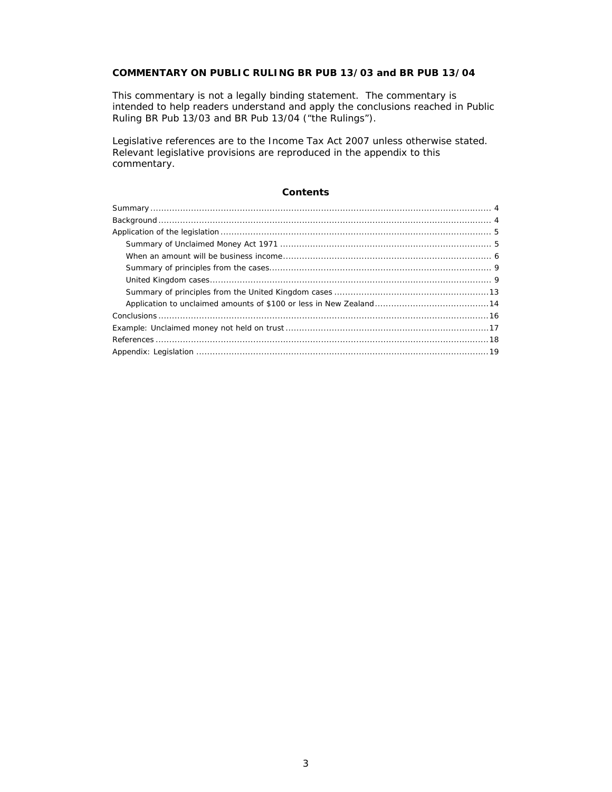# **COMMENTARY ON PUBLIC RULING BR PUB 13/03 and BR PUB 13/04**

This commentary is not a legally binding statement. The commentary is intended to help readers understand and apply the conclusions reached in Public Ruling BR Pub 13/03 and BR Pub 13/04 ("the Rulings").

Legislative references are to the Income Tax Act 2007 unless otherwise stated. Relevant legislative provisions are reproduced in the appendix to this commentary.

# **Contents**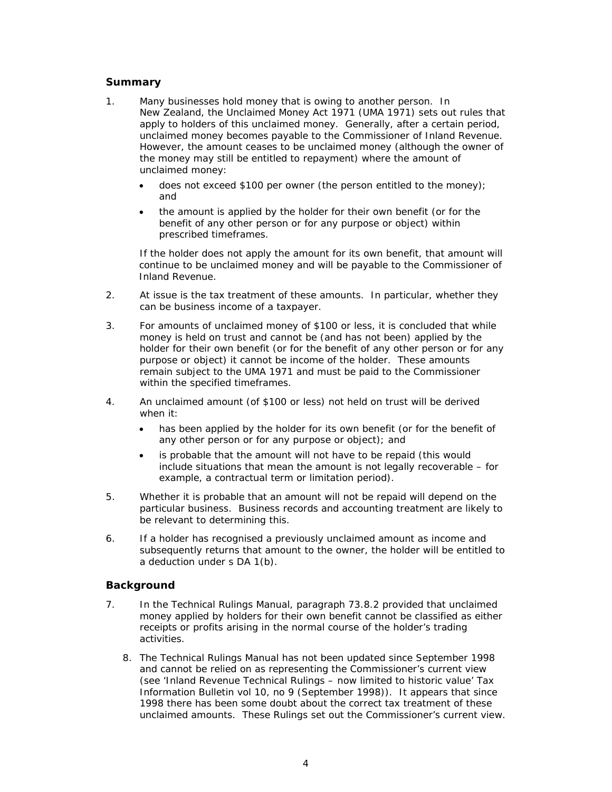# **Summary**

- 1. Many businesses hold money that is owing to another person. In New Zealand, the Unclaimed Money Act 1971 (UMA 1971) sets out rules that apply to holders of this unclaimed money. Generally, after a certain period, unclaimed money becomes payable to the Commissioner of Inland Revenue. However, the amount ceases to be unclaimed money (although the owner of the money may still be entitled to repayment) where the amount of unclaimed money:
	- does not exceed \$100 per owner (the person entitled to the money); and
	- the amount is applied by the holder for their own benefit (or for the benefit of any other person or for any purpose or object) within prescribed timeframes.

If the holder does not apply the amount for its own benefit, that amount will continue to be unclaimed money and will be payable to the Commissioner of Inland Revenue.

- 2. At issue is the tax treatment of these amounts. In particular, whether they can be business income of a taxpayer.
- 3. For amounts of unclaimed money of \$100 or less, it is concluded that while money is held on trust and cannot be (and has not been) applied by the holder for their own benefit (or for the benefit of any other person or for any purpose or object) it cannot be income of the holder. These amounts remain subject to the UMA 1971 and must be paid to the Commissioner within the specified timeframes.
- 4. An unclaimed amount (of \$100 or less) not held on trust will be derived when it:
	- has been applied by the holder for its own benefit (or for the benefit of any other person or for any purpose or object); and
	- is probable that the amount will not have to be repaid (this would include situations that mean the amount is not legally recoverable – for example, a contractual term or limitation period).
- 5. Whether it is probable that an amount will not be repaid will depend on the particular business. Business records and accounting treatment are likely to be relevant to determining this.
- 6. If a holder has recognised a previously unclaimed amount as income and subsequently returns that amount to the owner, the holder will be entitled to a deduction under s DA 1(b).

# **Background**

- 7. In the *Technical Rulings Manual*, paragraph 73.8.2 provided that unclaimed money applied by holders for their own benefit cannot be classified as either receipts or profits arising in the normal course of the holder's trading activities.
	- 8. The *Technical Rulings Manual* has not been updated since September 1998 and cannot be relied on as representing the Commissioner's current view (see 'Inland Revenue Technical Rulings – now limited to historic value' *Tax Information Bulletin* vol 10, no 9 (September 1998)). It appears that since 1998 there has been some doubt about the correct tax treatment of these unclaimed amounts. These Rulings set out the Commissioner's current view.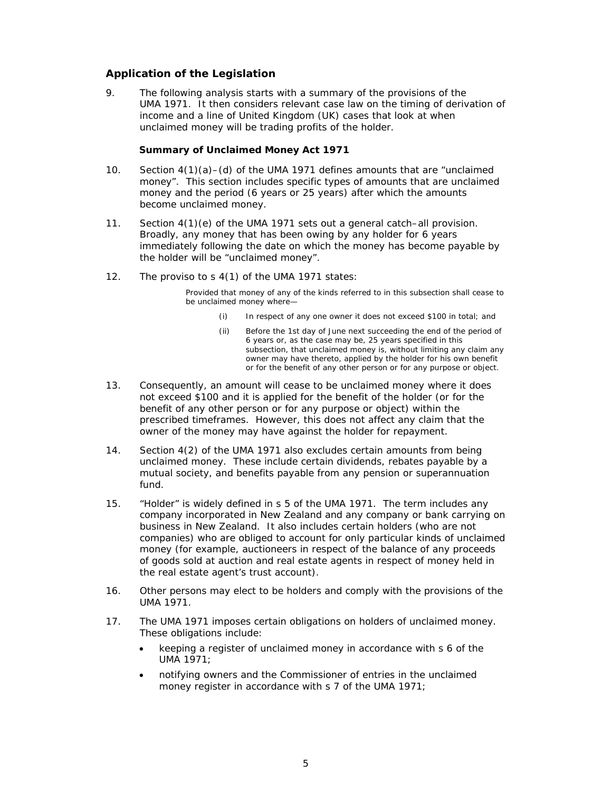# **Application of the Legislation**

9. The following analysis starts with a summary of the provisions of the UMA 1971. It then considers relevant case law on the timing of derivation of income and a line of United Kingdom (UK) cases that look at when unclaimed money will be trading profits of the holder.

#### **Summary of Unclaimed Money Act 1971**

- 10. Section  $4(1)(a) (d)$  of the UMA 1971 defines amounts that are "unclaimed" money". This section includes specific types of amounts that are unclaimed money and the period (6 years or 25 years) after which the amounts become unclaimed money.
- 11. Section 4(1)(e) of the UMA 1971 sets out a general catch–all provision. Broadly, any money that has been owing by any holder for 6 years immediately following the date on which the money has become payable by the holder will be "unclaimed money".
- 12. The proviso to s 4(1) of the UMA 1971 states:

Provided that money of any of the kinds referred to in this subsection shall cease to be unclaimed money where—

- (i) In respect of any one owner it does not exceed \$100 in total; and
- (ii) Before the 1st day of June next succeeding the end of the period of 6 years or, as the case may be, 25 years specified in this subsection, that unclaimed money is, without limiting any claim any owner may have thereto, applied by the holder for his own benefit or for the benefit of any other person or for any purpose or object.
- 13. Consequently, an amount will cease to be unclaimed money where it does not exceed \$100 and it is applied for the benefit of the holder (or for the benefit of any other person or for any purpose or object) within the prescribed timeframes. However, this does not affect any claim that the owner of the money may have against the holder for repayment.
- 14. Section 4(2) of the UMA 1971 also excludes certain amounts from being unclaimed money. These include certain dividends, rebates payable by a mutual society, and benefits payable from any pension or superannuation fund.
- 15. "Holder" is widely defined in s 5 of the UMA 1971. The term includes any company incorporated in New Zealand and any company or bank carrying on business in New Zealand. It also includes certain holders (who are not companies) who are obliged to account for only particular kinds of unclaimed money (for example, auctioneers in respect of the balance of any proceeds of goods sold at auction and real estate agents in respect of money held in the real estate agent's trust account).
- 16. Other persons may elect to be holders and comply with the provisions of the UMA 1971.
- 17. The UMA 1971 imposes certain obligations on holders of unclaimed money. These obligations include:
	- keeping a register of unclaimed money in accordance with s 6 of the UMA 1971;
	- notifying owners and the Commissioner of entries in the unclaimed money register in accordance with s 7 of the UMA 1971;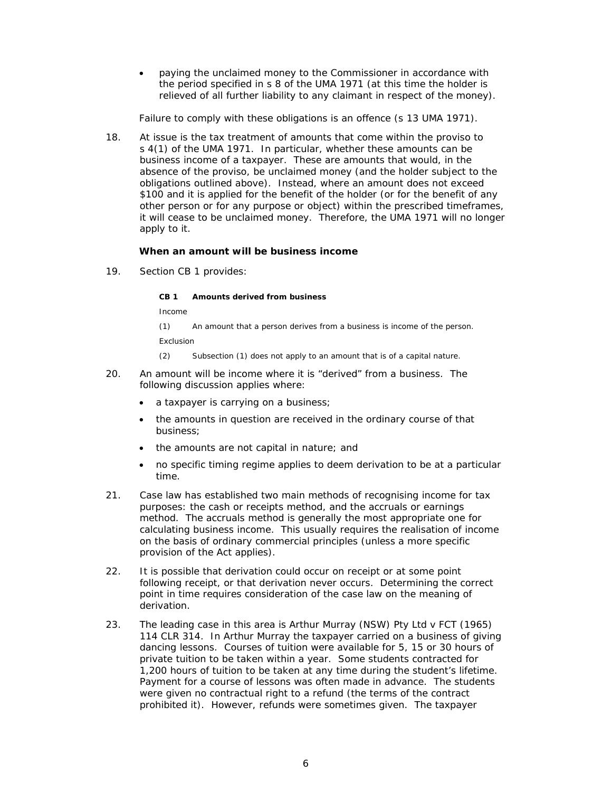paying the unclaimed money to the Commissioner in accordance with the period specified in s 8 of the UMA 1971 (at this time the holder is relieved of all further liability to any claimant in respect of the money).

Failure to comply with these obligations is an offence (s 13 UMA 1971).

18. At issue is the tax treatment of amounts that come within the proviso to s 4(1) of the UMA 1971. In particular, whether these amounts can be business income of a taxpayer. These are amounts that would, in the absence of the proviso, be unclaimed money (and the holder subject to the obligations outlined above). Instead, where an amount does not exceed \$100 and it is applied for the benefit of the holder (or for the benefit of any other person or for any purpose or object) within the prescribed timeframes, it will cease to be unclaimed money. Therefore, the UMA 1971 will no longer apply to it.

#### **When an amount will be business income**

19. Section CB 1 provides:

**CB 1 Amounts derived from business** 

*Income* 

(1) An amount that a person derives from a business is income of the person. *Exclusion* 

(2) Subsection (1) does not apply to an amount that is of a capital nature.

- 20. An amount will be income where it is "derived" from a business. The following discussion applies where:
	- a taxpayer is carrying on a business;
	- the amounts in question are received in the ordinary course of that business;
	- the amounts are not capital in nature; and
	- no specific timing regime applies to deem derivation to be at a particular time.
- 21. Case law has established two main methods of recognising income for tax purposes: the cash or receipts method, and the accruals or earnings method. The accruals method is generally the most appropriate one for calculating business income. This usually requires the realisation of income on the basis of ordinary commercial principles (unless a more specific provision of the Act applies).
- 22. It is possible that derivation could occur on receipt or at some point following receipt, or that derivation never occurs. Determining the correct point in time requires consideration of the case law on the meaning of derivation.
- 23. The leading case in this area is *Arthur Murray (NSW) Pty Ltd v FCT* (1965) 114 CLR 314. In *Arthur Murray* the taxpayer carried on a business of giving dancing lessons. Courses of tuition were available for 5, 15 or 30 hours of private tuition to be taken within a year. Some students contracted for 1,200 hours of tuition to be taken at any time during the student's lifetime. Payment for a course of lessons was often made in advance. The students were given no contractual right to a refund (the terms of the contract prohibited it). However, refunds were sometimes given. The taxpayer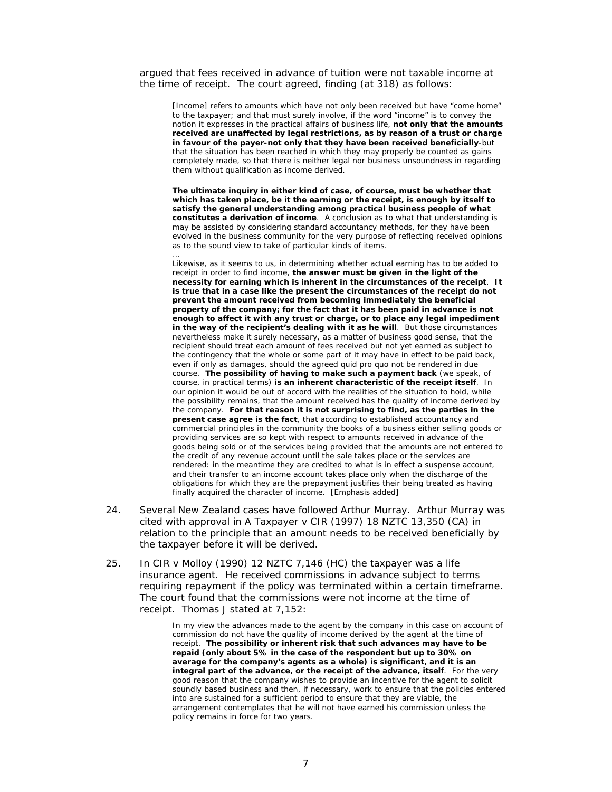argued that fees received in advance of tuition were not taxable income at the time of receipt. The court agreed, finding (at 318) as follows:

[Income] refers to amounts which have not only been received but have "come home" to the taxpayer; and that must surely involve, if the word "income" is to convey the notion it expresses in the practical affairs of business life, **not only that the amounts received are unaffected by legal restrictions, as by reason of a trust or charge in favour of the payer-not only that they have been received beneficially**-but that the situation has been reached in which they may properly be counted as gains completely made, so that there is neither legal nor business unsoundness in regarding them without qualification as income derived.

**The ultimate inquiry in either kind of case, of course, must be whether that which has taken place, be it the earning or the receipt, is enough by itself to satisfy the general understanding among practical business people of what constitutes a derivation of income**. A conclusion as to what that understanding is may be assisted by considering standard accountancy methods, for they have been evolved in the business community for the very purpose of reflecting received opinions as to the sound view to take of particular kinds of items.

…

Likewise, as it seems to us, in determining whether actual earning has to be added to receipt in order to find income, **the answer must be given in the light of the necessity for earning which is inherent in the circumstances of the receipt**. **It is true that in a case like the present the circumstances of the receipt do not prevent the amount received from becoming immediately the beneficial property of the company; for the fact that it has been paid in advance is not enough to affect it with any trust or charge, or to place any legal impediment in the way of the recipient's dealing with it as he will**. But those circumstances nevertheless make it surely necessary, as a matter of business good sense, that the recipient should treat each amount of fees received but not yet earned as subject to the contingency that the whole or some part of it may have in effect to be paid back, even if only as damages, should the agreed quid pro quo not be rendered in due course. **The possibility of having to make such a payment back** (we speak, of course, in practical terms) **is an inherent characteristic of the receipt itself**. In our opinion it would be out of accord with the realities of the situation to hold, while the possibility remains, that the amount received has the quality of income derived by the company. **For that reason it is not surprising to find, as the parties in the present case agree is the fact**, that according to established accountancy and commercial principles in the community the books of a business either selling goods or providing services are so kept with respect to amounts received in advance of the goods being sold or of the services being provided that the amounts are not entered to the credit of any revenue account until the sale takes place or the services are rendered: in the meantime they are credited to what is in effect a suspense account, and their transfer to an income account takes place only when the discharge of the obligations for which they are the prepayment justifies their being treated as having finally acquired the character of income. [Emphasis added]

- 24. Several New Zealand cases have followed *Arthur Murray*. *Arthur Murray* was cited with approval in *A Taxpayer v CIR* (1997) 18 NZTC 13,350 (CA) in relation to the principle that an amount needs to be received beneficially by the taxpayer before it will be derived.
- 25. In *CIR v Molloy* (1990) 12 NZTC 7,146 (HC) the taxpayer was a life insurance agent. He received commissions in advance subject to terms requiring repayment if the policy was terminated within a certain timeframe. The court found that the commissions were not income at the time of receipt. Thomas J stated at 7,152:

In my view the advances made to the agent by the company in this case on account of commission do not have the quality of income derived by the agent at the time of receipt. **The possibility or inherent risk that such advances may have to be repaid (only about 5% in the case of the respondent but up to 30% on average for the company's agents as a whole) is significant, and it is an integral part of the advance, or the receipt of the advance, itself**. For the very good reason that the company wishes to provide an incentive for the agent to solicit soundly based business and then, if necessary, work to ensure that the policies entered into are sustained for a sufficient period to ensure that they are viable, the arrangement contemplates that he will not have earned his commission unless the policy remains in force for two years.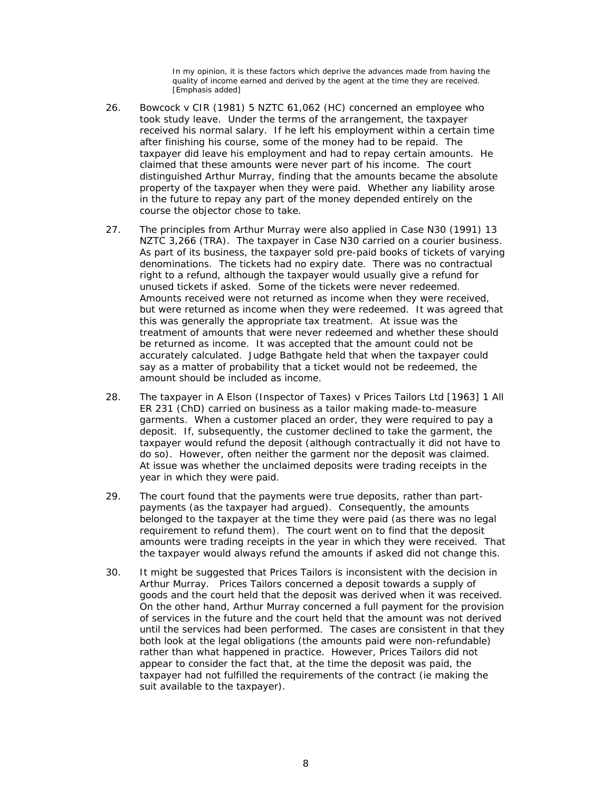In my opinion, it is these factors which deprive the advances made from having the quality of income earned and derived by the agent at the time they are received. [Emphasis added]

- 26. *Bowcock v CIR* (1981) 5 NZTC 61,062 (HC) concerned an employee who took study leave. Under the terms of the arrangement, the taxpayer received his normal salary. If he left his employment within a certain time after finishing his course, some of the money had to be repaid. The taxpayer did leave his employment and had to repay certain amounts. He claimed that these amounts were never part of his income. The court distinguished *Arthur Murray*, finding that the amounts became the absolute property of the taxpayer when they were paid. Whether any liability arose in the future to repay any part of the money depended entirely on the course the objector chose to take.
- 27. The principles from *Arthur Murray* were also applied in *Case N30* (1991) 13 NZTC 3,266 (TRA). The taxpayer in *Case N30* carried on a courier business. As part of its business, the taxpayer sold pre-paid books of tickets of varying denominations. The tickets had no expiry date. There was no contractual right to a refund, although the taxpayer would usually give a refund for unused tickets if asked. Some of the tickets were never redeemed. Amounts received were not returned as income when they were received, but were returned as income when they were redeemed. It was agreed that this was generally the appropriate tax treatment. At issue was the treatment of amounts that were never redeemed and whether these should be returned as income. It was accepted that the amount could not be accurately calculated. Judge Bathgate held that when the taxpayer could say as a matter of probability that a ticket would not be redeemed, the amount should be included as income.
- 28. The taxpayer in *A Elson (Inspector of Taxes) v Prices Tailors Ltd* [1963] 1 All ER 231 (ChD) carried on business as a tailor making made-to-measure garments. When a customer placed an order, they were required to pay a deposit. If, subsequently, the customer declined to take the garment, the taxpayer would refund the deposit (although contractually it did not have to do so). However, often neither the garment nor the deposit was claimed. At issue was whether the unclaimed deposits were trading receipts in the year in which they were paid.
- 29. The court found that the payments were true deposits, rather than partpayments (as the taxpayer had argued). Consequently, the amounts belonged to the taxpayer at the time they were paid (as there was no legal requirement to refund them). The court went on to find that the deposit amounts were trading receipts in the year in which they were received. That the taxpayer would always refund the amounts if asked did not change this.
- 30. It might be suggested that *Prices Tailors* is inconsistent with the decision in *Arthur Murray*. *Prices Tailors* concerned a deposit towards a supply of goods and the court held that the deposit was derived when it was received. On the other hand, *Arthur Murray* concerned a full payment for the provision of services in the future and the court held that the amount was not derived until the services had been performed. The cases are consistent in that they both look at the legal obligations (the amounts paid were non-refundable) rather than what happened in practice. However, *Prices Tailors* did not appear to consider the fact that, at the time the deposit was paid, the taxpayer had not fulfilled the requirements of the contract (ie making the suit available to the taxpayer).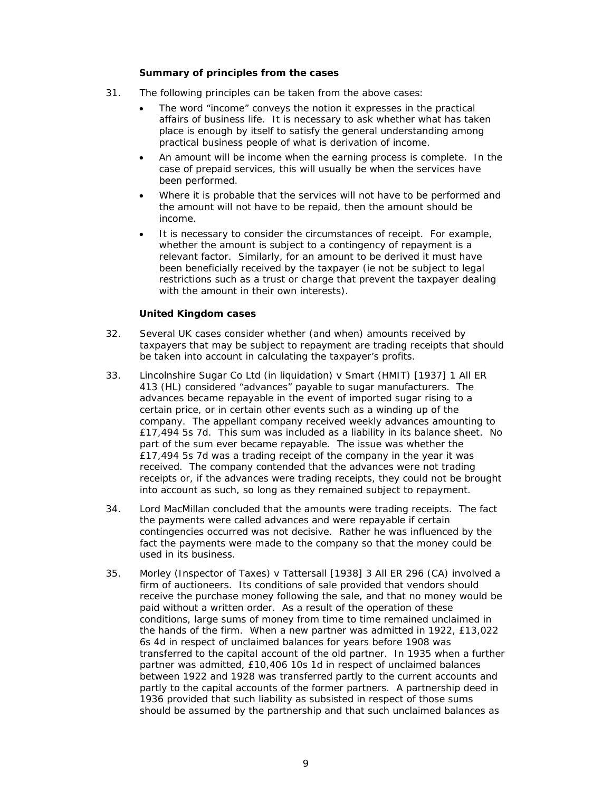#### **Summary of principles from the cases**

- 31. The following principles can be taken from the above cases:
	- The word "income" conveys the notion it expresses in the practical affairs of business life. It is necessary to ask whether what has taken place is enough by itself to satisfy the general understanding among practical business people of what is derivation of income.
	- An amount will be income when the earning process is complete. In the case of prepaid services, this will usually be when the services have been performed.
	- Where it is probable that the services will not have to be performed and the amount will not have to be repaid, then the amount should be income.
	- It is necessary to consider the circumstances of receipt. For example, whether the amount is subject to a contingency of repayment is a relevant factor. Similarly, for an amount to be derived it must have been beneficially received by the taxpayer (ie not be subject to legal restrictions such as a trust or charge that prevent the taxpayer dealing with the amount in their own interests).

# **United Kingdom cases**

- 32. Several UK cases consider whether (and when) amounts received by taxpayers that may be subject to repayment are trading receipts that should be taken into account in calculating the taxpayer's profits.
- 33. *Lincolnshire Sugar Co Ltd (in liquidation) v Smart (HMIT)* [1937] 1 All ER 413 (HL) considered "advances" payable to sugar manufacturers. The advances became repayable in the event of imported sugar rising to a certain price, or in certain other events such as a winding up of the company. The appellant company received weekly advances amounting to £17,494 5s 7d. This sum was included as a liability in its balance sheet. No part of the sum ever became repayable. The issue was whether the £17,494 5s 7d was a trading receipt of the company in the year it was received. The company contended that the advances were not trading receipts or, if the advances were trading receipts, they could not be brought into account as such, so long as they remained subject to repayment.
- 34. Lord MacMillan concluded that the amounts were trading receipts. The fact the payments were called advances and were repayable if certain contingencies occurred was not decisive. Rather he was influenced by the fact the payments were made to the company so that the money could be used in its business.
- 35. *Morley (Inspector of Taxes) v Tattersall* [1938] 3 All ER 296 (CA) involved a firm of auctioneers. Its conditions of sale provided that vendors should receive the purchase money following the sale, and that no money would be paid without a written order. As a result of the operation of these conditions, large sums of money from time to time remained unclaimed in the hands of the firm. When a new partner was admitted in 1922, £13,022 6s 4d in respect of unclaimed balances for years before 1908 was transferred to the capital account of the old partner. In 1935 when a further partner was admitted, £10,406 10s 1d in respect of unclaimed balances between 1922 and 1928 was transferred partly to the current accounts and partly to the capital accounts of the former partners. A partnership deed in 1936 provided that such liability as subsisted in respect of those sums should be assumed by the partnership and that such unclaimed balances as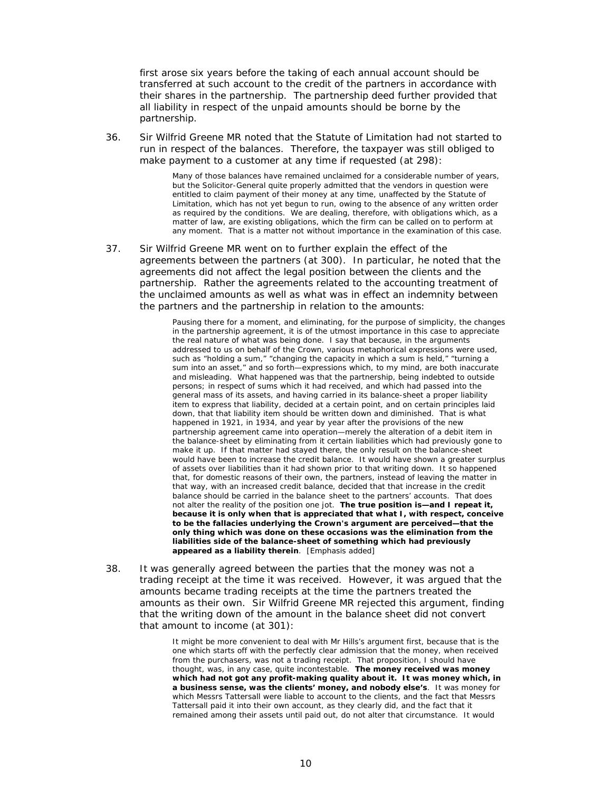first arose six years before the taking of each annual account should be transferred at such account to the credit of the partners in accordance with their shares in the partnership. The partnership deed further provided that all liability in respect of the unpaid amounts should be borne by the partnership.

36. Sir Wilfrid Greene MR noted that the Statute of Limitation had not started to run in respect of the balances. Therefore, the taxpayer was still obliged to make payment to a customer at any time if requested (at 298):

> Many of those balances have remained unclaimed for a considerable number of years, but the Solicitor-General quite properly admitted that the vendors in question were entitled to claim payment of their money at any time, unaffected by the Statute of Limitation, which has not yet begun to run, owing to the absence of any written order as required by the conditions. We are dealing, therefore, with obligations which, as a matter of law, are existing obligations, which the firm can be called on to perform at any moment. That is a matter not without importance in the examination of this case.

37. Sir Wilfrid Greene MR went on to further explain the effect of the agreements between the partners (at 300). In particular, he noted that the agreements did not affect the legal position between the clients and the partnership. Rather the agreements related to the accounting treatment of the unclaimed amounts as well as what was in effect an indemnity between the partners and the partnership in relation to the amounts:

> Pausing there for a moment, and eliminating, for the purpose of simplicity, the changes in the partnership agreement, it is of the utmost importance in this case to appreciate the real nature of what was being done. I say that because, in the arguments addressed to us on behalf of the Crown, various metaphorical expressions were used, such as "holding a sum," "changing the capacity in which a sum is held," "turning a sum into an asset," and so forth—expressions which, to my mind, are both inaccurate and misleading. What happened was that the partnership, being indebted to outside persons; in respect of sums which it had received, and which had passed into the general mass of its assets, and having carried in its balance-sheet a proper liability item to express that liability, decided at a certain point, and on certain principles laid down, that that liability item should be written down and diminished. That is what happened in 1921, in 1934, and year by year after the provisions of the new partnership agreement came into operation—merely the alteration of a debit item in the balance-sheet by eliminating from it certain liabilities which had previously gone to make it up. If that matter had stayed there, the only result on the balance-sheet would have been to increase the credit balance. It would have shown a greater surplus of assets over liabilities than it had shown prior to that writing down. It so happened that, for domestic reasons of their own, the partners, instead of leaving the matter in that way, with an increased credit balance, decided that that increase in the credit balance should be carried in the balance sheet to the partners' accounts. That does not alter the reality of the position one jot. **The true position is—and I repeat it, because it is only when that is appreciated that what I, with respect, conceive to be the fallacies underlying the Crown's argument are perceived—that the only thing which was done on these occasions was the elimination from the liabilities side of the balance-sheet of something which had previously appeared as a liability therein**. [Emphasis added]

38. It was generally agreed between the parties that the money was not a trading receipt at the time it was received. However, it was argued that the amounts became trading receipts at the time the partners treated the amounts as their own. Sir Wilfrid Greene MR rejected this argument, finding that the writing down of the amount in the balance sheet did not convert that amount to income (at 301):

> It might be more convenient to deal with Mr Hills's argument first, because that is the one which starts off with the perfectly clear admission that the money, when received from the purchasers, was not a trading receipt. That proposition, I should have thought, was, in any case, quite incontestable. **The money received was money which had not got any profit-making quality about it. It was money which, in a business sense, was the clients' money, and nobody else's**. It was money for which Messrs Tattersall were liable to account to the clients, and the fact that Messrs Tattersall paid it into their own account, as they clearly did, and the fact that it remained among their assets until paid out, do not alter that circumstance. It would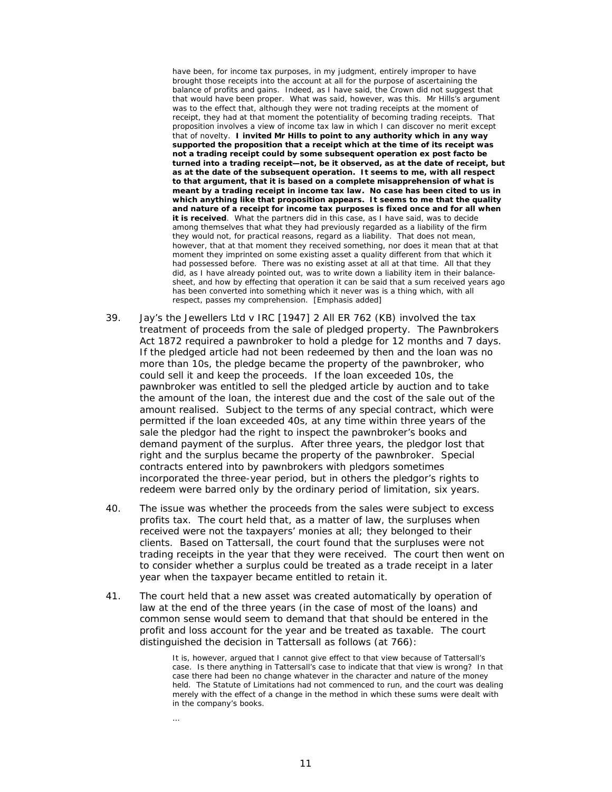have been, for income tax purposes, in my judgment, entirely improper to have brought those receipts into the account at all for the purpose of ascertaining the balance of profits and gains. Indeed, as I have said, the Crown did not suggest that that would have been proper. What was said, however, was this. Mr Hills's argument was to the effect that, although they were not trading receipts at the moment of receipt, they had at that moment the potentiality of becoming trading receipts. That proposition involves a view of income tax law in which I can discover no merit except that of novelty. **I invited Mr Hills to point to any authority which in any way supported the proposition that a receipt which at the time of its receipt was not a trading receipt could by some subsequent operation ex post facto be turned into a trading receipt—not, be it observed, as at the date of receipt, but as at the date of the subsequent operation. It seems to me, with all respect to that argument, that it is based on a complete misapprehension of what is meant by a trading receipt in income tax law. No case has been cited to us in which anything like that proposition appears. It seems to me that the quality and nature of a receipt for income tax purposes is fixed once and for all when it is received**. What the partners did in this case, as I have said, was to decide among themselves that what they had previously regarded as a liability of the firm they would not, for practical reasons, regard as a liability. That does not mean, however, that at that moment they received something, nor does it mean that at that moment they imprinted on some existing asset a quality different from that which it had possessed before. There was no existing asset at all at that time. All that they did, as I have already pointed out, was to write down a liability item in their balancesheet, and how by effecting that operation it can be said that a sum received years ago has been converted into something which it never was is a thing which, with all respect, passes my comprehension. [Emphasis added]

- 39. *Jay's the Jewellers Ltd v IRC* [1947] 2 All ER 762 (KB) involved the tax treatment of proceeds from the sale of pledged property. The Pawnbrokers Act 1872 required a pawnbroker to hold a pledge for 12 months and 7 days. If the pledged article had not been redeemed by then and the loan was no more than 10s, the pledge became the property of the pawnbroker, who could sell it and keep the proceeds. If the loan exceeded 10s, the pawnbroker was entitled to sell the pledged article by auction and to take the amount of the loan, the interest due and the cost of the sale out of the amount realised. Subject to the terms of any special contract, which were permitted if the loan exceeded 40s, at any time within three years of the sale the pledgor had the right to inspect the pawnbroker's books and demand payment of the surplus. After three years, the pledgor lost that right and the surplus became the property of the pawnbroker. Special contracts entered into by pawnbrokers with pledgors sometimes incorporated the three-year period, but in others the pledgor's rights to redeem were barred only by the ordinary period of limitation, six years.
- 40. The issue was whether the proceeds from the sales were subject to excess profits tax. The court held that, as a matter of law, the surpluses when received were not the taxpayers' monies at all; they belonged to their clients. Based on *Tattersall*, the court found that the surpluses were not trading receipts in the year that they were received. The court then went on to consider whether a surplus could be treated as a trade receipt in a later year when the taxpayer became entitled to retain it.
- 41. The court held that a new asset was created automatically by operation of law at the end of the three years (in the case of most of the loans) and common sense would seem to demand that that should be entered in the profit and loss account for the year and be treated as taxable. The court distinguished the decision in *Tattersall* as follows (at 766):

It is, however, argued that I cannot give effect to that view because of *Tattersall's* case. Is there anything in *Tattersall's* case to indicate that that view is wrong? In that case there had been no change whatever in the character and nature of the money held. The Statute of Limitations had not commenced to run, and the court was dealing merely with the effect of a change in the method in which these sums were dealt with in the company's books.

…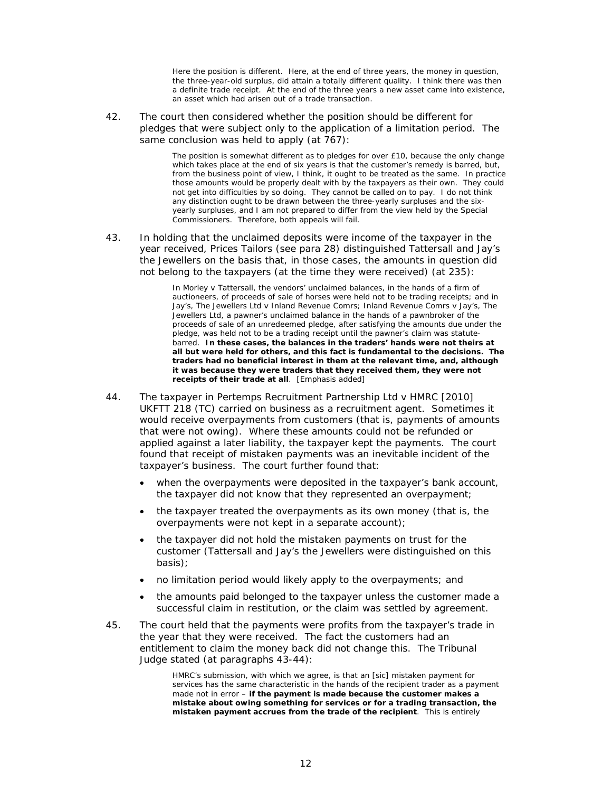Here the position is different. Here, at the end of three years, the money in question, the three-year-old surplus, did attain a totally different quality. I think there was then a definite trade receipt. At the end of the three years a new asset came into existence, an asset which had arisen out of a trade transaction.

42. The court then considered whether the position should be different for pledges that were subject only to the application of a limitation period. The same conclusion was held to apply (at 767):

> The position is somewhat different as to pledges for over £10, because the only change which takes place at the end of six years is that the customer's remedy is barred, but, from the business point of view, I think, it ought to be treated as the same. In practice those amounts would be properly dealt with by the taxpayers as their own. They could not get into difficulties by so doing. They cannot be called on to pay. I do not think any distinction ought to be drawn between the three-yearly surpluses and the sixyearly surpluses, and I am not prepared to differ from the view held by the Special Commissioners. Therefore, both appeals will fail.

43. In holding that the unclaimed deposits were income of the taxpayer in the year received, *Prices Tailors* (see para 28) distinguished *Tattersall* and *Jay's the Jewellers* on the basis that, in those cases, the amounts in question did not belong to the taxpayers (at the time they were received) (at 235):

> In *Morley v Tattersall*, the vendors' unclaimed balances, in the hands of a firm of auctioneers, of proceeds of sale of horses were held not to be trading receipts; and in *Jay's, The Jewellers Ltd v Inland Revenue Comrs; Inland Revenue Comrs v Jay's, The Jewellers Ltd*, a pawner's unclaimed balance in the hands of a pawnbroker of the proceeds of sale of an unredeemed pledge, after satisfying the amounts due under the pledge, was held not to be a trading receipt until the pawner's claim was statutebarred. **In these cases, the balances in the traders' hands were not theirs at all but were held for others, and this fact is fundamental to the decisions. The traders had no beneficial interest in them at the relevant time, and, although it was because they were traders that they received them, they were not receipts of their trade at all**. [Emphasis added]

- 44. The taxpayer in *Pertemps Recruitment Partnership Ltd v HMRC* [2010] UKFTT 218 (TC) carried on business as a recruitment agent. Sometimes it would receive overpayments from customers (that is, payments of amounts that were not owing). Where these amounts could not be refunded or applied against a later liability, the taxpayer kept the payments. The court found that receipt of mistaken payments was an inevitable incident of the taxpayer's business. The court further found that:
	- when the overpayments were deposited in the taxpayer's bank account, the taxpayer did not know that they represented an overpayment;
	- the taxpayer treated the overpayments as its own money (that is, the overpayments were not kept in a separate account);
	- the taxpayer did not hold the mistaken payments on trust for the customer (*Tattersall* and *Jay's the Jewellers* were distinguished on this basis);
	- no limitation period would likely apply to the overpayments; and
	- the amounts paid belonged to the taxpayer unless the customer made a successful claim in restitution, or the claim was settled by agreement.
- 45. The court held that the payments were profits from the taxpayer's trade in the year that they were received. The fact the customers had an entitlement to claim the money back did not change this. The Tribunal Judge stated (at paragraphs 43-44):

HMRC's submission, with which we agree, is that an [sic] mistaken payment for services has the same characteristic in the hands of the recipient trader as a payment made not in error – **if the payment is made because the customer makes a mistake about owing something for services or for a trading transaction, the mistaken payment accrues from the trade of the recipient**. This is entirely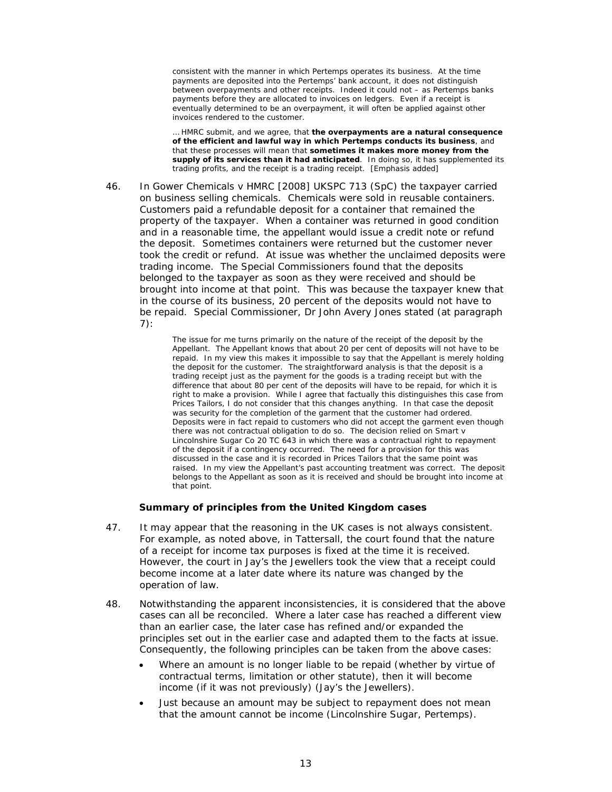consistent with the manner in which Pertemps operates its business. At the time payments are deposited into the Pertemps' bank account, it does not distinguish between overpayments and other receipts. Indeed it could not – as Pertemps banks payments before they are allocated to invoices on ledgers. Even if a receipt is eventually determined to be an overpayment, it will often be applied against other invoices rendered to the customer.

… HMRC submit, and we agree, that **the overpayments are a natural consequence of the efficient and lawful way in which Pertemps conducts its business**, and that these processes will mean that **sometimes it makes more money from the supply of its services than it had anticipated**. In doing so, it has supplemented its trading profits, and the receipt is a trading receipt. [Emphasis added]

46. In *Gower Chemicals v HMRC* [2008] UKSPC 713 (SpC) the taxpayer carried on business selling chemicals. Chemicals were sold in reusable containers. Customers paid a refundable deposit for a container that remained the property of the taxpayer. When a container was returned in good condition and in a reasonable time, the appellant would issue a credit note or refund the deposit. Sometimes containers were returned but the customer never took the credit or refund. At issue was whether the unclaimed deposits were trading income. The Special Commissioners found that the deposits belonged to the taxpayer as soon as they were received and should be brought into income at that point. This was because the taxpayer knew that in the course of its business, 20 percent of the deposits would not have to be repaid. Special Commissioner, Dr John Avery Jones stated (at paragraph 7):

> The issue for me turns primarily on the nature of the receipt of the deposit by the Appellant. The Appellant knows that about 20 per cent of deposits will not have to be repaid. In my view this makes it impossible to say that the Appellant is merely holding the deposit for the customer. The straightforward analysis is that the deposit is a trading receipt just as the payment for the goods is a trading receipt but with the difference that about 80 per cent of the deposits will have to be repaid, for which it is right to make a provision. While I agree that factually this distinguishes this case from *Prices Tailors*, I do not consider that this changes anything. In that case the deposit was security for the completion of the garment that the customer had ordered. Deposits were in fact repaid to customers who did not accept the garment even though there was not contractual obligation to do so. The decision relied on *Smart v Lincolnshire Sugar Co* 20 TC 643 in which there was a contractual right to repayment of the deposit if a contingency occurred. The need for a provision for this was discussed in the case and it is recorded in *Prices Tailors* that the same point was raised. In my view the Appellant's past accounting treatment was correct. The deposit belongs to the Appellant as soon as it is received and should be brought into income at that point.

#### **Summary of principles from the United Kingdom cases**

- 47. It may appear that the reasoning in the UK cases is not always consistent. For example, as noted above, in *Tattersall*, the court found that the nature of a receipt for income tax purposes is fixed at the time it is received. However, the court in *Jay's the Jewellers* took the view that a receipt could become income at a later date where its nature was changed by the operation of law.
- 48. Notwithstanding the apparent inconsistencies, it is considered that the above cases can all be reconciled. Where a later case has reached a different view than an earlier case, the later case has refined and/or expanded the principles set out in the earlier case and adapted them to the facts at issue. Consequently, the following principles can be taken from the above cases:
	- Where an amount is no longer liable to be repaid (whether by virtue of contractual terms, limitation or other statute), then it will become income (if it was not previously) (*Jay's the Jewellers*).
	- Just because an amount may be subject to repayment does not mean that the amount cannot be income (*Lincolnshire Sugar*, *Pertemps*).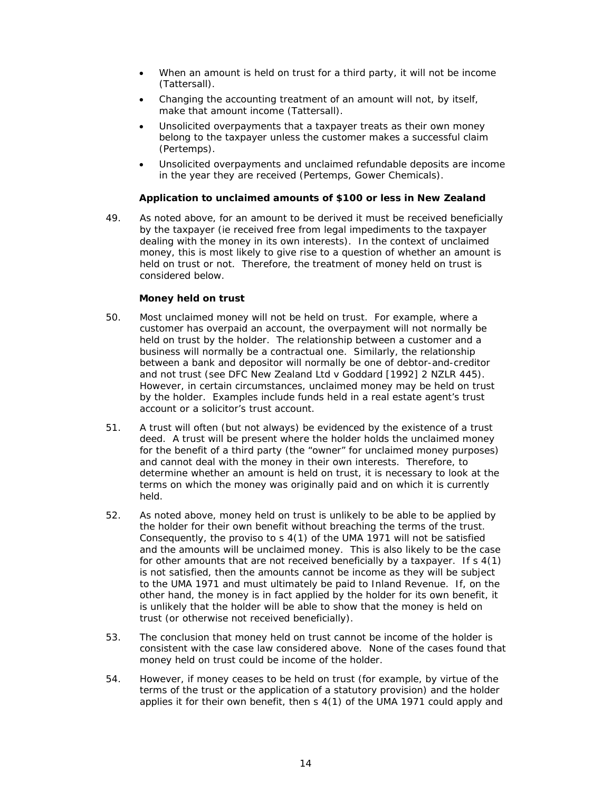- When an amount is held on trust for a third party, it will not be income (*Tattersall*).
- Changing the accounting treatment of an amount will not, by itself, make that amount income (*Tattersall*).
- Unsolicited overpayments that a taxpayer treats as their own money belong to the taxpayer unless the customer makes a successful claim (*Pertemps*).
- Unsolicited overpayments and unclaimed refundable deposits are income in the year they are received (*Pertemps*, *Gower Chemicals*).

#### **Application to unclaimed amounts of \$100 or less in New Zealand**

49. As noted above, for an amount to be derived it must be received beneficially by the taxpayer (ie received free from legal impediments to the taxpayer dealing with the money in its own interests). In the context of unclaimed money, this is most likely to give rise to a question of whether an amount is held on trust or not. Therefore, the treatment of money held on trust is considered below.

#### *Money held on trust*

- 50. Most unclaimed money will not be held on trust. For example, where a customer has overpaid an account, the overpayment will not normally be held on trust by the holder. The relationship between a customer and a business will normally be a contractual one. Similarly, the relationship between a bank and depositor will normally be one of debtor-and-creditor and not trust (see *DFC New Zealand Ltd v Goddard* [1992] 2 NZLR 445). However, in certain circumstances, unclaimed money may be held on trust by the holder. Examples include funds held in a real estate agent's trust account or a solicitor's trust account.
- 51. A trust will often (but not always) be evidenced by the existence of a trust deed. A trust will be present where the holder holds the unclaimed money for the benefit of a third party (the "owner" for unclaimed money purposes) and cannot deal with the money in their own interests. Therefore, to determine whether an amount is held on trust, it is necessary to look at the terms on which the money was originally paid and on which it is currently held.
- 52. As noted above, money held on trust is unlikely to be able to be applied by the holder for their own benefit without breaching the terms of the trust. Consequently, the proviso to s 4(1) of the UMA 1971 will not be satisfied and the amounts will be unclaimed money. This is also likely to be the case for other amounts that are not received beneficially by a taxpayer. If s 4(1) is not satisfied, then the amounts cannot be income as they will be subject to the UMA 1971 and must ultimately be paid to Inland Revenue. If, on the other hand, the money is *in fact* applied by the holder for its own benefit, it is unlikely that the holder will be able to show that the money is held on trust (or otherwise not received beneficially).
- 53. The conclusion that money held on trust cannot be income of the holder is consistent with the case law considered above. None of the cases found that money held on trust could be income of the holder.
- 54. However, if money ceases to be held on trust (for example, by virtue of the terms of the trust or the application of a statutory provision) and the holder applies it for their own benefit, then s 4(1) of the UMA 1971 could apply and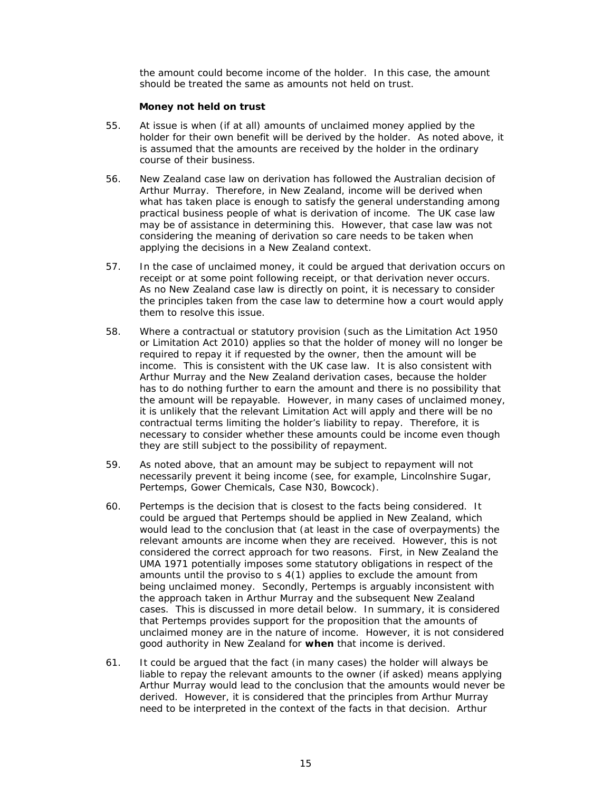the amount could become income of the holder. In this case, the amount should be treated the same as amounts not held on trust.

#### *Money not held on trust*

- 55. At issue is when (if at all) amounts of unclaimed money applied by the holder for their own benefit will be derived by the holder. As noted above, it is assumed that the amounts are received by the holder in the ordinary course of their business.
- 56. New Zealand case law on derivation has followed the Australian decision of *Arthur Murray*. Therefore, in New Zealand, income will be derived when what has taken place is enough to satisfy the general understanding among practical business people of what is derivation of income. The UK case law may be of assistance in determining this. However, that case law was not considering the meaning of derivation so care needs to be taken when applying the decisions in a New Zealand context.
- 57. In the case of unclaimed money, it could be argued that derivation occurs on receipt or at some point following receipt, or that derivation never occurs. As no New Zealand case law is directly on point, it is necessary to consider the principles taken from the case law to determine how a court would apply them to resolve this issue.
- 58. Where a contractual or statutory provision (such as the Limitation Act 1950 or Limitation Act 2010) applies so that the holder of money will no longer be required to repay it if requested by the owner, then the amount will be income. This is consistent with the UK case law. It is also consistent with *Arthur Murray* and the New Zealand derivation cases, because the holder has to do nothing further to earn the amount and there is no possibility that the amount will be repayable. However, in many cases of unclaimed money, it is unlikely that the relevant Limitation Act will apply and there will be no contractual terms limiting the holder's liability to repay. Therefore, it is necessary to consider whether these amounts could be income even though they are still subject to the possibility of repayment.
- 59. As noted above, that an amount may be subject to repayment will not necessarily prevent it being income (see, for example, *Lincolnshire Sugar*, *Pertemps, Gower Chemicals, Case N30, Bowcock*).
- 60. *Pertemps* is the decision that is closest to the facts being considered. It could be argued that *Pertemps* should be applied in New Zealand, which would lead to the conclusion that (at least in the case of overpayments) the relevant amounts are income when they are received. However, this is not considered the correct approach for two reasons. First, in New Zealand the UMA 1971 potentially imposes some statutory obligations in respect of the amounts until the proviso to s 4(1) applies to exclude the amount from being unclaimed money. Secondly, *Pertemps* is arguably inconsistent with the approach taken in *Arthur Murray* and the subsequent New Zealand cases. This is discussed in more detail below. In summary, it is considered that *Pertemps* provides support for the proposition that the amounts of unclaimed money are in the nature of income. However, it is not considered good authority in New Zealand for **when** that income is derived.
- 61. It could be argued that the fact (in many cases) the holder will always be liable to repay the relevant amounts to the owner (if asked) means applying *Arthur Murray* would lead to the conclusion that the amounts would never be derived. However, it is considered that the principles from *Arthur Murray* need to be interpreted in the context of the facts in that decision. *Arthur*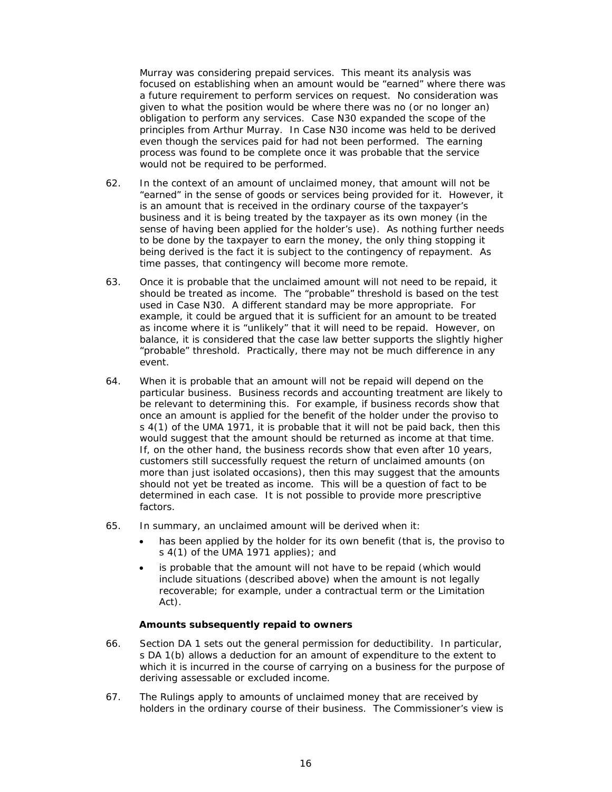*Murray* was considering prepaid services. This meant its analysis was focused on establishing when an amount would be "earned" where there was a future requirement to perform services on request. No consideration was given to what the position would be where there was no (or no longer an) obligation to perform any services. *Case N30* expanded the scope of the principles from *Arthur Murray*. In *Case N30* income was held to be derived even though the services paid for had not been performed. The earning process was found to be complete once it was probable that the service would not be required to be performed.

- 62. In the context of an amount of unclaimed money, that amount will not be "earned" in the sense of goods or services being provided for it. However, it is an amount that is received in the ordinary course of the taxpayer's business and it is being treated by the taxpayer as its own money (in the sense of having been applied for the holder's use). As nothing further needs to be done by the taxpayer to earn the money, the only thing stopping it being derived is the fact it is subject to the contingency of repayment. As time passes, that contingency will become more remote.
- 63. Once it is probable that the unclaimed amount will not need to be repaid, it should be treated as income. The "probable" threshold is based on the test used in *Case N30*. A different standard may be more appropriate. For example, it could be argued that it is sufficient for an amount to be treated as income where it is "unlikely" that it will need to be repaid. However, on balance, it is considered that the case law better supports the slightly higher "probable" threshold. Practically, there may not be much difference in any event.
- 64. When it is probable that an amount will not be repaid will depend on the particular business. Business records and accounting treatment are likely to be relevant to determining this. For example, if business records show that once an amount is applied for the benefit of the holder under the proviso to s 4(1) of the UMA 1971, it is probable that it will not be paid back, then this would suggest that the amount should be returned as income at that time. If, on the other hand, the business records show that even after 10 years, customers still successfully request the return of unclaimed amounts (on more than just isolated occasions), then this may suggest that the amounts should not yet be treated as income. This will be a question of fact to be determined in each case. It is not possible to provide more prescriptive factors.
- 65. In summary, an unclaimed amount will be derived when it:
	- has been applied by the holder for its own benefit (that is, the proviso to s 4(1) of the UMA 1971 applies); and
	- is probable that the amount will not have to be repaid (which would include situations (described above) when the amount is not legally recoverable; for example, under a contractual term or the Limitation Act).

# *Amounts subsequently repaid to owners*

- 66. Section DA 1 sets out the general permission for deductibility. In particular, s DA 1(b) allows a deduction for an amount of expenditure to the extent to which it is incurred in the course of carrying on a business for the purpose of deriving assessable or excluded income.
- 67. The Rulings apply to amounts of unclaimed money that are received by holders in the ordinary course of their business. The Commissioner's view is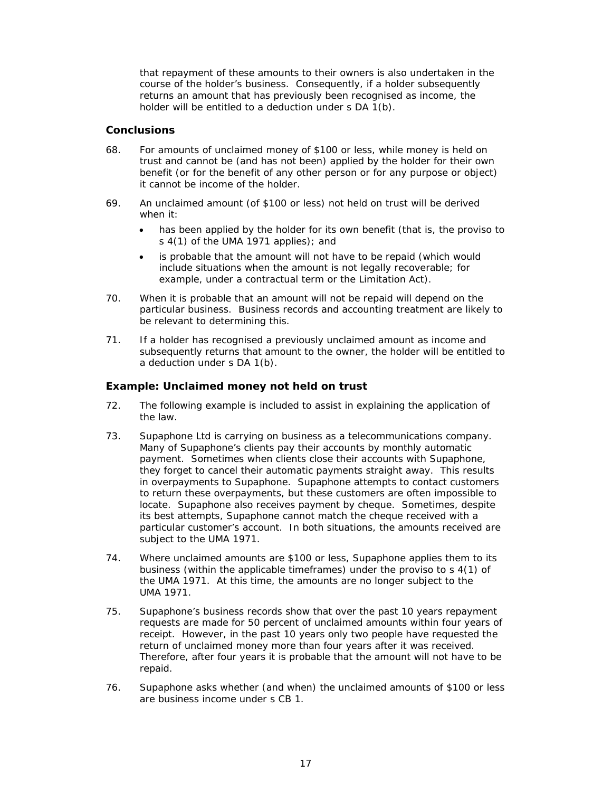that repayment of these amounts to their owners is also undertaken in the course of the holder's business. Consequently, if a holder subsequently returns an amount that has previously been recognised as income, the holder will be entitled to a deduction under s DA 1(b).

# **Conclusions**

- 68. For amounts of unclaimed money of \$100 or less, while money is held on trust and cannot be (and has not been) applied by the holder for their own benefit (or for the benefit of any other person or for any purpose or object) it cannot be income of the holder.
- 69. An unclaimed amount (of \$100 or less) not held on trust will be derived when it:
	- has been applied by the holder for its own benefit (that is, the proviso to s 4(1) of the UMA 1971 applies); and
	- is probable that the amount will not have to be repaid (which would include situations when the amount is not legally recoverable; for example, under a contractual term or the Limitation Act).
- 70. When it is probable that an amount will not be repaid will depend on the particular business. Business records and accounting treatment are likely to be relevant to determining this.
- 71. If a holder has recognised a previously unclaimed amount as income and subsequently returns that amount to the owner, the holder will be entitled to a deduction under s DA 1(b).

# **Example: Unclaimed money not held on trust**

- 72. The following example is included to assist in explaining the application of the law.
- 73. Supaphone Ltd is carrying on business as a telecommunications company. Many of Supaphone's clients pay their accounts by monthly automatic payment. Sometimes when clients close their accounts with Supaphone, they forget to cancel their automatic payments straight away. This results in overpayments to Supaphone. Supaphone attempts to contact customers to return these overpayments, but these customers are often impossible to locate. Supaphone also receives payment by cheque. Sometimes, despite its best attempts, Supaphone cannot match the cheque received with a particular customer's account. In both situations, the amounts received are subject to the UMA 1971.
- 74. Where unclaimed amounts are \$100 or less, Supaphone applies them to its business (within the applicable timeframes) under the proviso to s 4(1) of the UMA 1971. At this time, the amounts are no longer subject to the UMA 1971.
- 75. Supaphone's business records show that over the past 10 years repayment requests are made for 50 percent of unclaimed amounts within four years of receipt. However, in the past 10 years only two people have requested the return of unclaimed money more than four years after it was received. Therefore, after four years it is probable that the amount will not have to be repaid.
- 76. Supaphone asks whether (and when) the unclaimed amounts of \$100 or less are business income under s CB 1.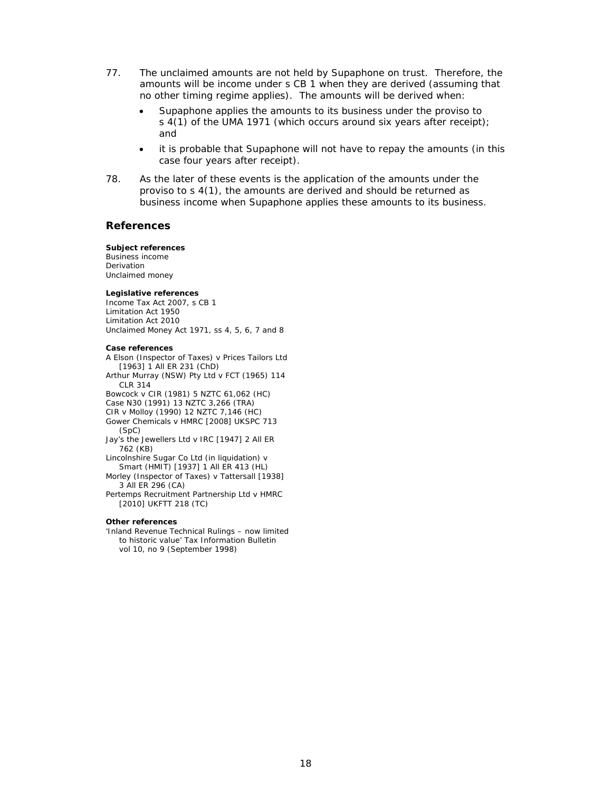- 77. The unclaimed amounts are not held by Supaphone on trust. Therefore, the amounts will be income under s CB 1 when they are derived (assuming that no other timing regime applies). The amounts will be derived when:
	- Supaphone applies the amounts to its business under the proviso to s 4(1) of the UMA 1971 (which occurs around six years after receipt); and
	- it is probable that Supaphone will not have to repay the amounts (in this case four years after receipt).
- 78. As the later of these events is the application of the amounts under the proviso to s 4(1), the amounts are derived and should be returned as business income when Supaphone applies these amounts to its business.

#### **References**

#### **Subject references**

Business income Derivation Unclaimed money

#### **Legislative references**

Income Tax Act 2007, s CB 1 Limitation Act 1950 Limitation Act 2010 Unclaimed Money Act 1971, ss 4, 5, 6, 7 and 8

#### **Case references**

*A Elson (Inspector of Taxes) v Prices Tailors Ltd* [1963] 1 All ER 231 (ChD) *Arthur Murray (NSW) Pty Ltd v FCT* (1965) 114 CLR 314 *Bowcock v CIR* (1981) 5 NZTC 61,062 (HC) *Case N30* (1991) 13 NZTC 3,266 (TRA) *CIR v Molloy* (1990) 12 NZTC 7,146 (HC) *Gower Chemicals v HMRC* [2008] UKSPC 713 (SpC) *Jay's the Jewellers Ltd v IRC* [1947] 2 All ER 762 (KB) *Lincolnshire Sugar Co Ltd (in liquidation) v Smart (HMIT)* [1937] 1 All ER 413 (HL) *Morley (Inspector of Taxes) v Tattersall* [1938] 3 All ER 296 (CA) *Pertemps Recruitment Partnership Ltd v HMRC*  [2010] UKFTT 218 (TC) **Other references** 

'Inland Revenue Technical Rulings – now limited to historic value' *Tax Information Bulletin*  vol 10, no 9 (September 1998)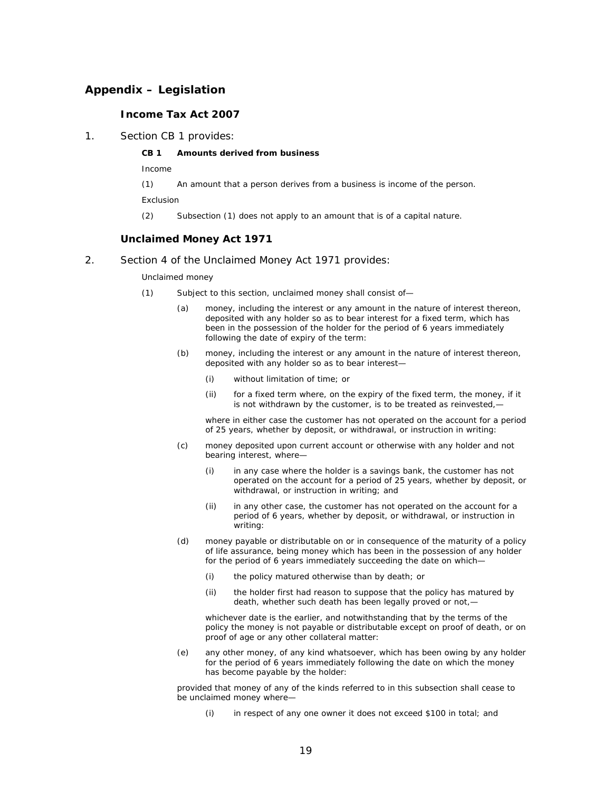# **Appendix – Legislation**

# **Income Tax Act 2007**

1. Section CB 1 provides:

#### **CB 1 Amounts derived from business**

*Income* 

(1) An amount that a person derives from a business is income of the person.

*Exclusion* 

(2) Subsection (1) does not apply to an amount that is of a capital nature.

#### **Unclaimed Money Act 1971**

#### 2. Section 4 of the Unclaimed Money Act 1971 provides:

*Unclaimed money* 

- (1) Subject to this section, unclaimed money shall consist of—
	- (a) money, including the interest or any amount in the nature of interest thereon, deposited with any holder so as to bear interest for a fixed term, which has been in the possession of the holder for the period of 6 years immediately following the date of expiry of the term:
	- (b) money, including the interest or any amount in the nature of interest thereon, deposited with any holder so as to bear interest—
		- (i) without limitation of time; or
		- (ii) for a fixed term where, on the expiry of the fixed term, the money, if it is not withdrawn by the customer, is to be treated as reinvested,-

where in either case the customer has not operated on the account for a period of 25 years, whether by deposit, or withdrawal, or instruction in writing:

- (c) money deposited upon current account or otherwise with any holder and not bearing interest, where—
	- (i) in any case where the holder is a savings bank, the customer has not operated on the account for a period of 25 years, whether by deposit, or withdrawal, or instruction in writing; and
	- (ii) in any other case, the customer has not operated on the account for a period of 6 years, whether by deposit, or withdrawal, or instruction in writing:
- (d) money payable or distributable on or in consequence of the maturity of a policy of life assurance, being money which has been in the possession of any holder for the period of 6 years immediately succeeding the date on which—
	- (i) the policy matured otherwise than by death; or
	- (ii) the holder first had reason to suppose that the policy has matured by death, whether such death has been legally proved or not,—

whichever date is the earlier, and notwithstanding that by the terms of the policy the money is not payable or distributable except on proof of death, or on proof of age or any other collateral matter:

(e) any other money, of any kind whatsoever, which has been owing by any holder for the period of 6 years immediately following the date on which the money has become payable by the holder:

provided that money of any of the kinds referred to in this subsection shall cease to be unclaimed money where—

(i) in respect of any one owner it does not exceed \$100 in total; and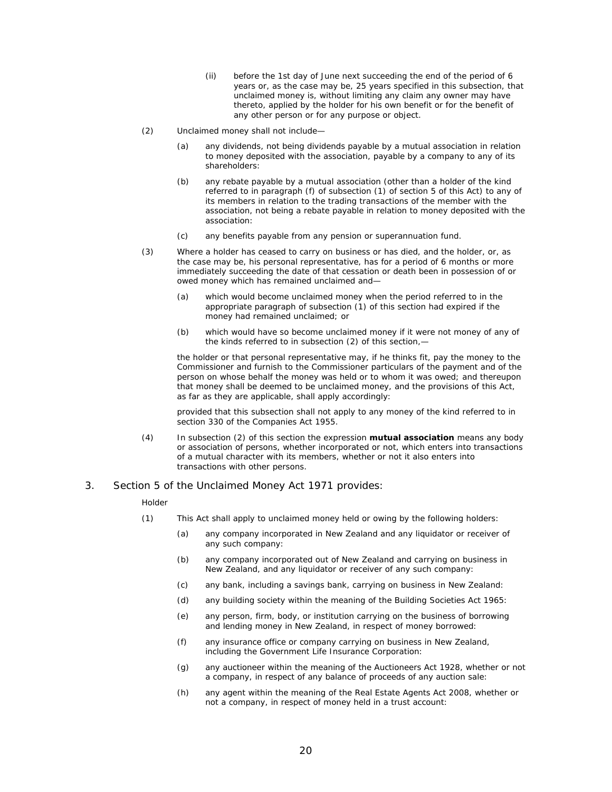- (ii) before the 1st day of June next succeeding the end of the period of 6 years or, as the case may be, 25 years specified in this subsection, that unclaimed money is, without limiting any claim any owner may have thereto, applied by the holder for his own benefit or for the benefit of any other person or for any purpose or object.
- (2) Unclaimed money shall not include—
	- (a) any dividends, not being dividends payable by a mutual association in relation to money deposited with the association, payable by a company to any of its shareholders:
	- (b) any rebate payable by a mutual association (other than a holder of the kind referred to in paragraph (f) of subsection (1) of section 5 of this Act) to any of its members in relation to the trading transactions of the member with the association, not being a rebate payable in relation to money deposited with the association:
	- (c) any benefits payable from any pension or superannuation fund.
- (3) Where a holder has ceased to carry on business or has died, and the holder, or, as the case may be, his personal representative, has for a period of 6 months or more immediately succeeding the date of that cessation or death been in possession of or owed money which has remained unclaimed and—
	- (a) which would become unclaimed money when the period referred to in the appropriate paragraph of subsection (1) of this section had expired if the money had remained unclaimed; or
	- (b) which would have so become unclaimed money if it were not money of any of the kinds referred to in subsection (2) of this section,—

the holder or that personal representative may, if he thinks fit, pay the money to the Commissioner and furnish to the Commissioner particulars of the payment and of the person on whose behalf the money was held or to whom it was owed; and thereupon that money shall be deemed to be unclaimed money, and the provisions of this Act, as far as they are applicable, shall apply accordingly:

provided that this subsection shall not apply to any money of the kind referred to in section 330 of the Companies Act 1955.

(4) In subsection (2) of this section the expression **mutual association** means any body or association of persons, whether incorporated or not, which enters into transactions of a mutual character with its members, whether or not it also enters into transactions with other persons.

#### 3. Section 5 of the Unclaimed Money Act 1971 provides:

#### *Holder*

- (1) This Act shall apply to unclaimed money held or owing by the following holders:
	- (a) any company incorporated in New Zealand and any liquidator or receiver of any such company:
	- (b) any company incorporated out of New Zealand and carrying on business in New Zealand, and any liquidator or receiver of any such company:
	- (c) any bank, including a savings bank, carrying on business in New Zealand:
	- (d) any building society within the meaning of the Building Societies Act 1965:
	- (e) any person, firm, body, or institution carrying on the business of borrowing and lending money in New Zealand, in respect of money borrowed:
	- (f) any insurance office or company carrying on business in New Zealand, including the Government Life Insurance Corporation:
	- (g) any auctioneer within the meaning of the Auctioneers Act 1928, whether or not a company, in respect of any balance of proceeds of any auction sale:
	- (h) any agent within the meaning of the Real Estate Agents Act 2008, whether or not a company, in respect of money held in a trust account: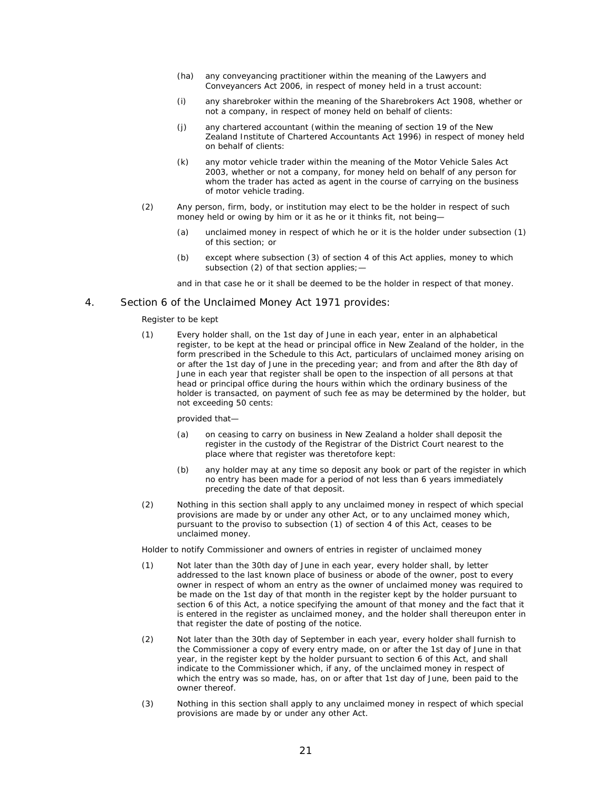- (ha) any conveyancing practitioner within the meaning of the Lawyers and Conveyancers Act 2006, in respect of money held in a trust account:
- (i) any sharebroker within the meaning of the Sharebrokers Act 1908, whether or not a company, in respect of money held on behalf of clients:
- (j) any chartered accountant (within the meaning of section 19 of the New Zealand Institute of Chartered Accountants Act 1996) in respect of money held on behalf of clients:
- (k) any motor vehicle trader within the meaning of the Motor Vehicle Sales Act 2003, whether or not a company, for money held on behalf of any person for whom the trader has acted as agent in the course of carrying on the business of motor vehicle trading.
- (2) Any person, firm, body, or institution may elect to be the holder in respect of such money held or owing by him or it as he or it thinks fit, not being-
	- (a) unclaimed money in respect of which he or it is the holder under subsection (1) of this section; or
	- (b) except where subsection (3) of section 4 of this Act applies, money to which subsection (2) of that section applies;—

and in that case he or it shall be deemed to be the holder in respect of that money.

#### 4. Section 6 of the Unclaimed Money Act 1971 provides:

#### *Register to be kept*

(1) Every holder shall, on the 1st day of June in each year, enter in an alphabetical register, to be kept at the head or principal office in New Zealand of the holder, in the form prescribed in the Schedule to this Act, particulars of unclaimed money arising on or after the 1st day of June in the preceding year; and from and after the 8th day of June in each year that register shall be open to the inspection of all persons at that head or principal office during the hours within which the ordinary business of the holder is transacted, on payment of such fee as may be determined by the holder, but not exceeding 50 cents:

#### provided that—

- (a) on ceasing to carry on business in New Zealand a holder shall deposit the register in the custody of the Registrar of the District Court nearest to the place where that register was theretofore kept:
- (b) any holder may at any time so deposit any book or part of the register in which no entry has been made for a period of not less than 6 years immediately preceding the date of that deposit.
- (2) Nothing in this section shall apply to any unclaimed money in respect of which special provisions are made by or under any other Act, or to any unclaimed money which, pursuant to the proviso to subsection (1) of section 4 of this Act, ceases to be unclaimed money.

*Holder to notify Commissioner and owners of entries in register of unclaimed money* 

- (1) Not later than the 30th day of June in each year, every holder shall, by letter addressed to the last known place of business or abode of the owner, post to every owner in respect of whom an entry as the owner of unclaimed money was required to be made on the 1st day of that month in the register kept by the holder pursuant to section 6 of this Act, a notice specifying the amount of that money and the fact that it is entered in the register as unclaimed money, and the holder shall thereupon enter in that register the date of posting of the notice.
- (2) Not later than the 30th day of September in each year, every holder shall furnish to the Commissioner a copy of every entry made, on or after the 1st day of June in that year, in the register kept by the holder pursuant to section 6 of this Act, and shall indicate to the Commissioner which, if any, of the unclaimed money in respect of which the entry was so made, has, on or after that 1st day of June, been paid to the owner thereof.
- (3) Nothing in this section shall apply to any unclaimed money in respect of which special provisions are made by or under any other Act.